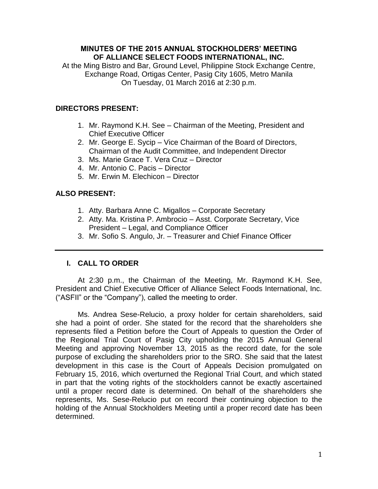# **MINUTES OF THE 2015 ANNUAL STOCKHOLDERS' MEETING OF ALLIANCE SELECT FOODS INTERNATIONAL, INC.**

At the Ming Bistro and Bar, Ground Level, Philippine Stock Exchange Centre, Exchange Road, Ortigas Center, Pasig City 1605, Metro Manila On Tuesday, 01 March 2016 at 2:30 p.m.

# **DIRECTORS PRESENT:**

- 1. Mr. Raymond K.H. See Chairman of the Meeting, President and Chief Executive Officer
- 2. Mr. George E. Sycip Vice Chairman of the Board of Directors, Chairman of the Audit Committee, and Independent Director
- 3. Ms. Marie Grace T. Vera Cruz Director
- 4. Mr. Antonio C. Pacis Director
- 5. Mr. Erwin M. Elechicon Director

# **ALSO PRESENT:**

- 1. Atty. Barbara Anne C. Migallos Corporate Secretary
- 2. Atty. Ma. Kristina P. Ambrocio Asst. Corporate Secretary, Vice President – Legal, and Compliance Officer
- 3. Mr. Sofio S. Angulo, Jr. Treasurer and Chief Finance Officer

# **I. CALL TO ORDER**

At 2:30 p.m., the Chairman of the Meeting, Mr. Raymond K.H. See, President and Chief Executive Officer of Alliance Select Foods International, Inc. ("ASFII" or the "Company"), called the meeting to order.

Ms. Andrea Sese-Relucio, a proxy holder for certain shareholders, said she had a point of order. She stated for the record that the shareholders she represents filed a Petition before the Court of Appeals to question the Order of the Regional Trial Court of Pasig City upholding the 2015 Annual General Meeting and approving November 13, 2015 as the record date, for the sole purpose of excluding the shareholders prior to the SRO. She said that the latest development in this case is the Court of Appeals Decision promulgated on February 15, 2016, which overturned the Regional Trial Court, and which stated in part that the voting rights of the stockholders cannot be exactly ascertained until a proper record date is determined. On behalf of the shareholders she represents, Ms. Sese-Relucio put on record their continuing objection to the holding of the Annual Stockholders Meeting until a proper record date has been determined.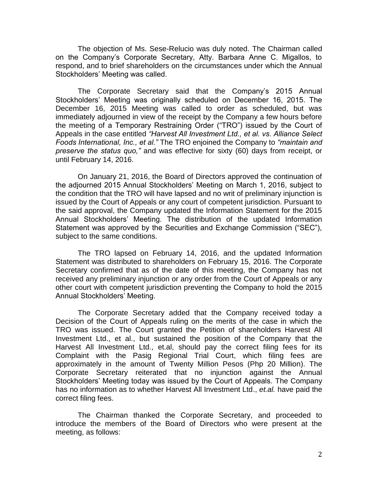The objection of Ms. Sese-Relucio was duly noted. The Chairman called on the Company's Corporate Secretary, Atty. Barbara Anne C. Migallos, to respond, and to brief shareholders on the circumstances under which the Annual Stockholders' Meeting was called.

The Corporate Secretary said that the Company's 2015 Annual Stockholders' Meeting was originally scheduled on December 16, 2015. The December 16, 2015 Meeting was called to order as scheduled, but was immediately adjourned in view of the receipt by the Company a few hours before the meeting of a Temporary Restraining Order ("TRO") issued by the Court of Appeals in the case entitled *"Harvest All Investment Ltd., et al. vs. Alliance Select Foods International, Inc., et al."* The TRO enjoined the Company to *"maintain and preserve the status quo,"* and was effective for sixty (60) days from receipt, or until February 14, 2016.

On January 21, 2016, the Board of Directors approved the continuation of the adjourned 2015 Annual Stockholders' Meeting on March 1, 2016, subject to the condition that the TRO will have lapsed and no writ of preliminary injunction is issued by the Court of Appeals or any court of competent jurisdiction. Pursuant to the said approval, the Company updated the Information Statement for the 2015 Annual Stockholders' Meeting. The distribution of the updated Information Statement was approved by the Securities and Exchange Commission ("SEC"), subject to the same conditions.

The TRO lapsed on February 14, 2016, and the updated Information Statement was distributed to shareholders on February 15, 2016. The Corporate Secretary confirmed that as of the date of this meeting, the Company has not received any preliminary injunction or any order from the Court of Appeals or any other court with competent jurisdiction preventing the Company to hold the 2015 Annual Stockholders' Meeting.

The Corporate Secretary added that the Company received today a Decision of the Court of Appeals ruling on the merits of the case in which the TRO was issued. The Court granted the Petition of shareholders Harvest All Investment Ltd., et al., but sustained the position of the Company that the Harvest All Investment Ltd., et.al, should pay the correct filing fees for its Complaint with the Pasig Regional Trial Court, which filing fees are approximately in the amount of Twenty Million Pesos (Php 20 Million). The Corporate Secretary reiterated that no injunction against the Annual Stockholders' Meeting today was issued by the Court of Appeals. The Company has no information as to whether Harvest All Investment Ltd., *et.al.* have paid the correct filing fees.

The Chairman thanked the Corporate Secretary, and proceeded to introduce the members of the Board of Directors who were present at the meeting, as follows: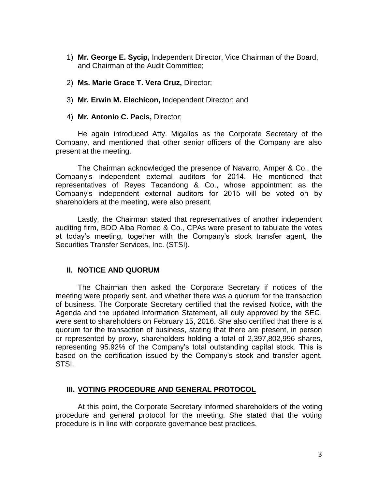- 1) **Mr. George E. Sycip,** Independent Director, Vice Chairman of the Board, and Chairman of the Audit Committee;
- 2) **Ms. Marie Grace T. Vera Cruz,** Director;
- 3) **Mr. Erwin M. Elechicon,** Independent Director; and
- 4) **Mr. Antonio C. Pacis,** Director;

He again introduced Atty. Migallos as the Corporate Secretary of the Company, and mentioned that other senior officers of the Company are also present at the meeting.

The Chairman acknowledged the presence of Navarro, Amper & Co., the Company's independent external auditors for 2014. He mentioned that representatives of Reyes Tacandong & Co., whose appointment as the Company's independent external auditors for 2015 will be voted on by shareholders at the meeting, were also present.

Lastly, the Chairman stated that representatives of another independent auditing firm, BDO Alba Romeo & Co., CPAs were present to tabulate the votes at today's meeting, together with the Company's stock transfer agent, the Securities Transfer Services, Inc. (STSI).

### **II. NOTICE AND QUORUM**

The Chairman then asked the Corporate Secretary if notices of the meeting were properly sent, and whether there was a quorum for the transaction of business. The Corporate Secretary certified that the revised Notice, with the Agenda and the updated Information Statement, all duly approved by the SEC, were sent to shareholders on February 15, 2016. She also certified that there is a quorum for the transaction of business, stating that there are present, in person or represented by proxy, shareholders holding a total of 2,397,802,996 shares, representing 95.92% of the Company's total outstanding capital stock. This is based on the certification issued by the Company's stock and transfer agent, STSI.

# **III. VOTING PROCEDURE AND GENERAL PROTOCOL**

At this point, the Corporate Secretary informed shareholders of the voting procedure and general protocol for the meeting. She stated that the voting procedure is in line with corporate governance best practices.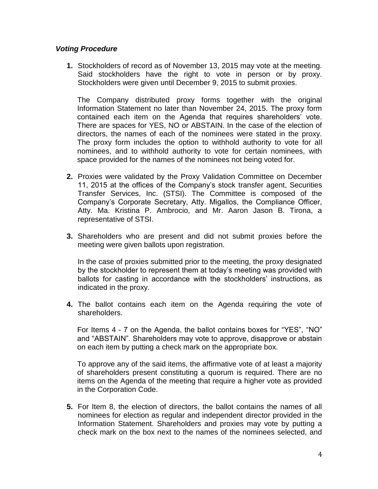# *Voting Procedure*

**1.** Stockholders of record as of November 13, 2015 may vote at the meeting. Said stockholders have the right to vote in person or by proxy. Stockholders were given until December 9, 2015 to submit proxies.

The Company distributed proxy forms together with the original Information Statement no later than November 24, 2015. The proxy form contained each item on the Agenda that requires shareholders' vote. There are spaces for YES, NO or ABSTAIN. In the case of the election of directors, the names of each of the nominees were stated in the proxy. The proxy form includes the option to withhold authority to vote for all nominees, and to withhold authority to vote for certain nominees, with space provided for the names of the nominees not being voted for.

- **2.** Proxies were validated by the Proxy Validation Committee on December 11, 2015 at the offices of the Company's stock transfer agent, Securities Transfer Services, Inc. (STSI). The Committee is composed of the Company's Corporate Secretary, Atty. Migallos, the Compliance Officer, Atty. Ma. Kristina P. Ambrocio, and Mr. Aaron Jason B. Tirona, a representative of STSI.
- **3.** Shareholders who are present and did not submit proxies before the meeting were given ballots upon registration.

In the case of proxies submitted prior to the meeting, the proxy designated by the stockholder to represent them at today's meeting was provided with ballots for casting in accordance with the stockholders' instructions, as indicated in the proxy.

**4.** The ballot contains each item on the Agenda requiring the vote of shareholders.

For Items 4 - 7 on the Agenda, the ballot contains boxes for "YES", "NO" and "ABSTAIN". Shareholders may vote to approve, disapprove or abstain on each item by putting a check mark on the appropriate box.

To approve any of the said items, the affirmative vote of at least a majority of shareholders present constituting a quorum is required. There are no items on the Agenda of the meeting that require a higher vote as provided in the Corporation Code.

**5.** For Item 8, the election of directors, the ballot contains the names of all nominees for election as regular and independent director provided in the Information Statement. Shareholders and proxies may vote by putting a check mark on the box next to the names of the nominees selected, and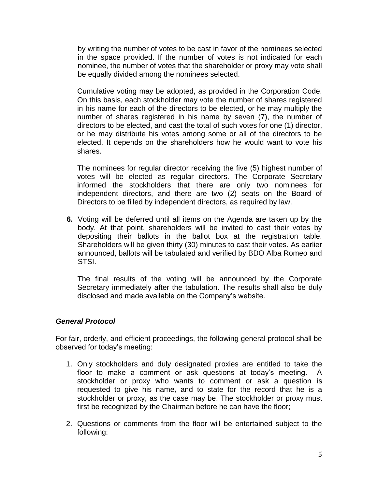by writing the number of votes to be cast in favor of the nominees selected in the space provided. If the number of votes is not indicated for each nominee, the number of votes that the shareholder or proxy may vote shall be equally divided among the nominees selected.

Cumulative voting may be adopted, as provided in the Corporation Code. On this basis, each stockholder may vote the number of shares registered in his name for each of the directors to be elected, or he may multiply the number of shares registered in his name by seven (7), the number of directors to be elected, and cast the total of such votes for one (1) director, or he may distribute his votes among some or all of the directors to be elected. It depends on the shareholders how he would want to vote his shares.

The nominees for regular director receiving the five (5) highest number of votes will be elected as regular directors. The Corporate Secretary informed the stockholders that there are only two nominees for independent directors, and there are two (2) seats on the Board of Directors to be filled by independent directors, as required by law.

**6.** Voting will be deferred until all items on the Agenda are taken up by the body. At that point, shareholders will be invited to cast their votes by depositing their ballots in the ballot box at the registration table. Shareholders will be given thirty (30) minutes to cast their votes. As earlier announced, ballots will be tabulated and verified by BDO Alba Romeo and STSI.

The final results of the voting will be announced by the Corporate Secretary immediately after the tabulation. The results shall also be duly disclosed and made available on the Company's website.

### *General Protocol*

For fair, orderly, and efficient proceedings, the following general protocol shall be observed for today's meeting:

- 1. Only stockholders and duly designated proxies are entitled to take the floor to make a comment or ask questions at today's meeting. A stockholder or proxy who wants to comment or ask a question is requested to give his name*,* and to state for the record that he is a stockholder or proxy, as the case may be. The stockholder or proxy must first be recognized by the Chairman before he can have the floor;
- 2. Questions or comments from the floor will be entertained subject to the following: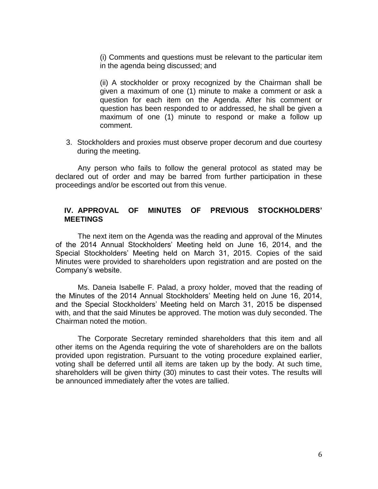(i) Comments and questions must be relevant to the particular item in the agenda being discussed; and

(ii) A stockholder or proxy recognized by the Chairman shall be given a maximum of one (1) minute to make a comment or ask a question for each item on the Agenda. After his comment or question has been responded to or addressed, he shall be given a maximum of one (1) minute to respond or make a follow up comment.

3. Stockholders and proxies must observe proper decorum and due courtesy during the meeting.

Any person who fails to follow the general protocol as stated may be declared out of order and may be barred from further participation in these proceedings and/or be escorted out from this venue.

# **IV. APPROVAL OF MINUTES OF PREVIOUS STOCKHOLDERS' MEETINGS**

The next item on the Agenda was the reading and approval of the Minutes of the 2014 Annual Stockholders' Meeting held on June 16, 2014, and the Special Stockholders' Meeting held on March 31, 2015. Copies of the said Minutes were provided to shareholders upon registration and are posted on the Company's website.

Ms. Daneia Isabelle F. Palad, a proxy holder, moved that the reading of the Minutes of the 2014 Annual Stockholders' Meeting held on June 16, 2014, and the Special Stockholders' Meeting held on March 31, 2015 be dispensed with, and that the said Minutes be approved. The motion was duly seconded. The Chairman noted the motion.

The Corporate Secretary reminded shareholders that this item and all other items on the Agenda requiring the vote of shareholders are on the ballots provided upon registration. Pursuant to the voting procedure explained earlier, voting shall be deferred until all items are taken up by the body. At such time, shareholders will be given thirty (30) minutes to cast their votes. The results will be announced immediately after the votes are tallied.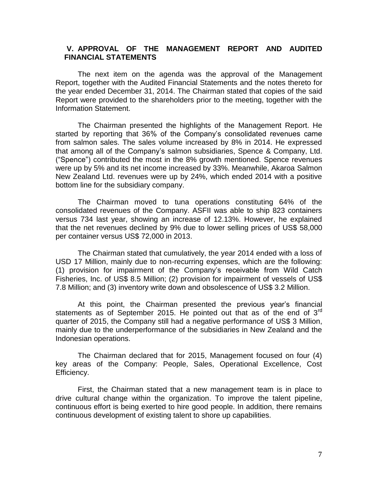# **V. APPROVAL OF THE MANAGEMENT REPORT AND AUDITED FINANCIAL STATEMENTS**

The next item on the agenda was the approval of the Management Report, together with the Audited Financial Statements and the notes thereto for the year ended December 31, 2014. The Chairman stated that copies of the said Report were provided to the shareholders prior to the meeting, together with the Information Statement.

The Chairman presented the highlights of the Management Report. He started by reporting that 36% of the Company's consolidated revenues came from salmon sales. The sales volume increased by 8% in 2014. He expressed that among all of the Company's salmon subsidiaries, Spence & Company, Ltd. ("Spence") contributed the most in the 8% growth mentioned. Spence revenues were up by 5% and its net income increased by 33%. Meanwhile, Akaroa Salmon New Zealand Ltd. revenues were up by 24%, which ended 2014 with a positive bottom line for the subsidiary company.

The Chairman moved to tuna operations constituting 64% of the consolidated revenues of the Company. ASFII was able to ship 823 containers versus 734 last year, showing an increase of 12.13%. However, he explained that the net revenues declined by 9% due to lower selling prices of US\$ 58,000 per container versus US\$ 72,000 in 2013.

The Chairman stated that cumulatively, the year 2014 ended with a loss of USD 17 Million, mainly due to non-recurring expenses, which are the following: (1) provision for impairment of the Company's receivable from Wild Catch Fisheries, Inc. of US\$ 8.5 Million; (2) provision for impairment of vessels of US\$ 7.8 Million; and (3) inventory write down and obsolescence of US\$ 3.2 Million.

At this point, the Chairman presented the previous year's financial statements as of September 2015. He pointed out that as of the end of  $3<sup>rd</sup>$ quarter of 2015, the Company still had a negative performance of US\$ 3 Million, mainly due to the underperformance of the subsidiaries in New Zealand and the Indonesian operations.

The Chairman declared that for 2015, Management focused on four (4) key areas of the Company: People, Sales, Operational Excellence, Cost Efficiency.

First, the Chairman stated that a new management team is in place to drive cultural change within the organization. To improve the talent pipeline, continuous effort is being exerted to hire good people. In addition, there remains continuous development of existing talent to shore up capabilities.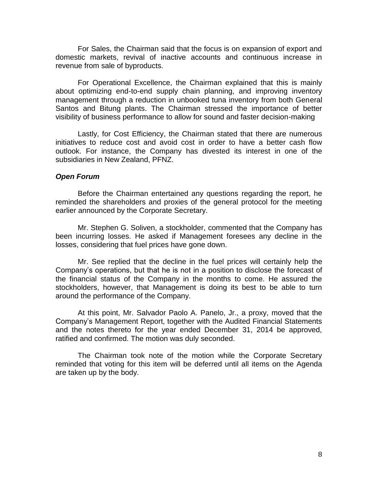For Sales, the Chairman said that the focus is on expansion of export and domestic markets, revival of inactive accounts and continuous increase in revenue from sale of byproducts.

For Operational Excellence, the Chairman explained that this is mainly about optimizing end-to-end supply chain planning, and improving inventory management through a reduction in unbooked tuna inventory from both General Santos and Bitung plants. The Chairman stressed the importance of better visibility of business performance to allow for sound and faster decision-making

Lastly, for Cost Efficiency, the Chairman stated that there are numerous initiatives to reduce cost and avoid cost in order to have a better cash flow outlook. For instance, the Company has divested its interest in one of the subsidiaries in New Zealand, PFNZ.

#### *Open Forum*

Before the Chairman entertained any questions regarding the report, he reminded the shareholders and proxies of the general protocol for the meeting earlier announced by the Corporate Secretary.

Mr. Stephen G. Soliven, a stockholder, commented that the Company has been incurring losses. He asked if Management foresees any decline in the losses, considering that fuel prices have gone down.

Mr. See replied that the decline in the fuel prices will certainly help the Company's operations, but that he is not in a position to disclose the forecast of the financial status of the Company in the months to come. He assured the stockholders, however, that Management is doing its best to be able to turn around the performance of the Company.

At this point, Mr. Salvador Paolo A. Panelo, Jr., a proxy, moved that the Company's Management Report, together with the Audited Financial Statements and the notes thereto for the year ended December 31, 2014 be approved, ratified and confirmed. The motion was duly seconded.

The Chairman took note of the motion while the Corporate Secretary reminded that voting for this item will be deferred until all items on the Agenda are taken up by the body.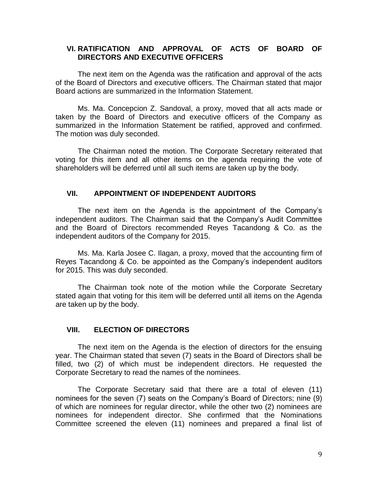## **VI. RATIFICATION AND APPROVAL OF ACTS OF BOARD OF DIRECTORS AND EXECUTIVE OFFICERS**

The next item on the Agenda was the ratification and approval of the acts of the Board of Directors and executive officers. The Chairman stated that major Board actions are summarized in the Information Statement.

Ms. Ma. Concepcion Z. Sandoval, a proxy, moved that all acts made or taken by the Board of Directors and executive officers of the Company as summarized in the Information Statement be ratified, approved and confirmed. The motion was duly seconded.

The Chairman noted the motion. The Corporate Secretary reiterated that voting for this item and all other items on the agenda requiring the vote of shareholders will be deferred until all such items are taken up by the body.

## **VII. APPOINTMENT OF INDEPENDENT AUDITORS**

The next item on the Agenda is the appointment of the Company's independent auditors. The Chairman said that the Company's Audit Committee and the Board of Directors recommended Reyes Tacandong & Co. as the independent auditors of the Company for 2015.

Ms. Ma. Karla Josee C. Ilagan, a proxy, moved that the accounting firm of Reyes Tacandong & Co. be appointed as the Company's independent auditors for 2015. This was duly seconded.

The Chairman took note of the motion while the Corporate Secretary stated again that voting for this item will be deferred until all items on the Agenda are taken up by the body.

# **VIII. ELECTION OF DIRECTORS**

The next item on the Agenda is the election of directors for the ensuing year. The Chairman stated that seven (7) seats in the Board of Directors shall be filled, two (2) of which must be independent directors. He requested the Corporate Secretary to read the names of the nominees.

The Corporate Secretary said that there are a total of eleven (11) nominees for the seven (7) seats on the Company's Board of Directors; nine (9) of which are nominees for regular director, while the other two (2) nominees are nominees for independent director. She confirmed that the Nominations Committee screened the eleven (11) nominees and prepared a final list of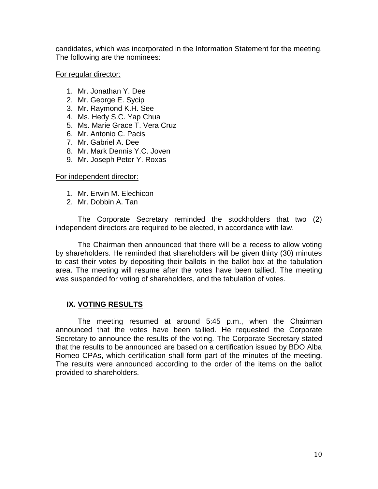candidates, which was incorporated in the Information Statement for the meeting. The following are the nominees:

For regular director:

- 1. Mr. Jonathan Y. Dee
- 2. Mr. George E. Sycip
- 3. Mr. Raymond K.H. See
- 4. Ms. Hedy S.C. Yap Chua
- 5. Ms. Marie Grace T. Vera Cruz
- 6. Mr. Antonio C. Pacis
- 7. Mr. Gabriel A. Dee
- 8. Mr. Mark Dennis Y.C. Joven
- 9. Mr. Joseph Peter Y. Roxas

For independent director:

- 1. Mr. Erwin M. Elechicon
- 2. Mr. Dobbin A. Tan

The Corporate Secretary reminded the stockholders that two (2) independent directors are required to be elected, in accordance with law.

The Chairman then announced that there will be a recess to allow voting by shareholders. He reminded that shareholders will be given thirty (30) minutes to cast their votes by depositing their ballots in the ballot box at the tabulation area. The meeting will resume after the votes have been tallied. The meeting was suspended for voting of shareholders, and the tabulation of votes.

# **IX. VOTING RESULTS**

The meeting resumed at around 5:45 p.m., when the Chairman announced that the votes have been tallied. He requested the Corporate Secretary to announce the results of the voting. The Corporate Secretary stated that the results to be announced are based on a certification issued by BDO Alba Romeo CPAs, which certification shall form part of the minutes of the meeting. The results were announced according to the order of the items on the ballot provided to shareholders.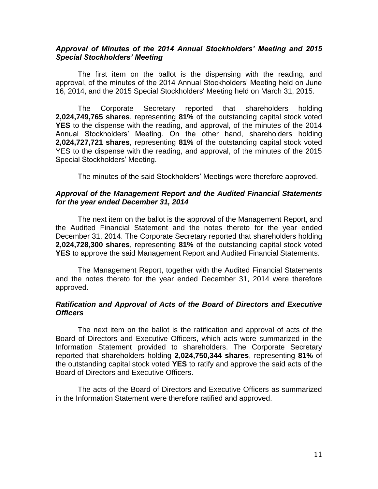### *Approval of Minutes of the 2014 Annual Stockholders' Meeting and 2015 Special Stockholders' Meeting*

The first item on the ballot is the dispensing with the reading, and approval, of the minutes of the 2014 Annual Stockholders' Meeting held on June 16, 2014, and the 2015 Special Stockholders' Meeting held on March 31, 2015.

The Corporate Secretary reported that shareholders holding **2,024,749,765 shares**, representing **81%** of the outstanding capital stock voted **YES** to the dispense with the reading, and approval, of the minutes of the 2014 Annual Stockholders' Meeting. On the other hand, shareholders holding **2,024,727,721 shares**, representing **81%** of the outstanding capital stock voted YES to the dispense with the reading, and approval, of the minutes of the 2015 Special Stockholders' Meeting.

The minutes of the said Stockholders' Meetings were therefore approved.

### *Approval of the Management Report and the Audited Financial Statements for the year ended December 31, 2014*

The next item on the ballot is the approval of the Management Report, and the Audited Financial Statement and the notes thereto for the year ended December 31, 2014. The Corporate Secretary reported that shareholders holding **2,024,728,300 shares**, representing **81%** of the outstanding capital stock voted **YES** to approve the said Management Report and Audited Financial Statements.

The Management Report, together with the Audited Financial Statements and the notes thereto for the year ended December 31, 2014 were therefore approved.

## *Ratification and Approval of Acts of the Board of Directors and Executive Officers*

The next item on the ballot is the ratification and approval of acts of the Board of Directors and Executive Officers, which acts were summarized in the Information Statement provided to shareholders. The Corporate Secretary reported that shareholders holding **2,024,750,344 shares**, representing **81%** of the outstanding capital stock voted **YES** to ratify and approve the said acts of the Board of Directors and Executive Officers.

The acts of the Board of Directors and Executive Officers as summarized in the Information Statement were therefore ratified and approved.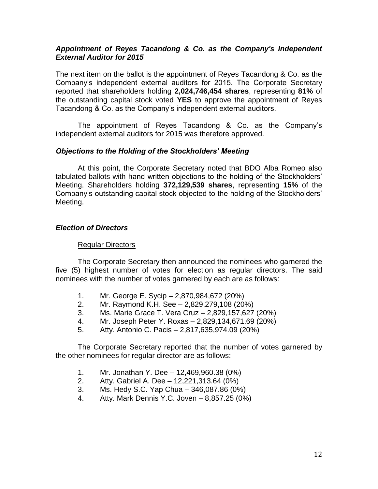# *Appointment of Reyes Tacandong & Co. as the Company's Independent External Auditor for 2015*

The next item on the ballot is the appointment of Reyes Tacandong & Co. as the Company's independent external auditors for 2015. The Corporate Secretary reported that shareholders holding **2,024,746,454 shares**, representing **81%** of the outstanding capital stock voted **YES** to approve the appointment of Reyes Tacandong & Co. as the Company's independent external auditors.

The appointment of Reyes Tacandong & Co. as the Company's independent external auditors for 2015 was therefore approved.

# *Objections to the Holding of the Stockholders' Meeting*

At this point, the Corporate Secretary noted that BDO Alba Romeo also tabulated ballots with hand written objections to the holding of the Stockholders' Meeting. Shareholders holding **372,129,539 shares**, representing **15%** of the Company's outstanding capital stock objected to the holding of the Stockholders' Meeting.

# *Election of Directors*

### Regular Directors

The Corporate Secretary then announced the nominees who garnered the five (5) highest number of votes for election as regular directors. The said nominees with the number of votes garnered by each are as follows:

- 1. Mr. George E. Sycip 2,870,984,672 (20%)
- 2. Mr. Raymond K.H. See 2,829,279,108 (20%)
- 3. Ms. Marie Grace T. Vera Cruz 2,829,157,627 (20%)
- 4. Mr. Joseph Peter Y. Roxas 2,829,134,671.69 (20%)
- 5. Atty. Antonio C. Pacis 2,817,635,974.09 (20%)

The Corporate Secretary reported that the number of votes garnered by the other nominees for regular director are as follows:

- 1. Mr. Jonathan Y. Dee 12,469,960.38 (0%)
- 2. Atty. Gabriel A. Dee 12,221,313.64 (0%)
- 3. Ms. Hedy S.C. Yap Chua 346,087.86 (0%)
- 4. Atty. Mark Dennis Y.C. Joven  $-8,857.25(0\%)$